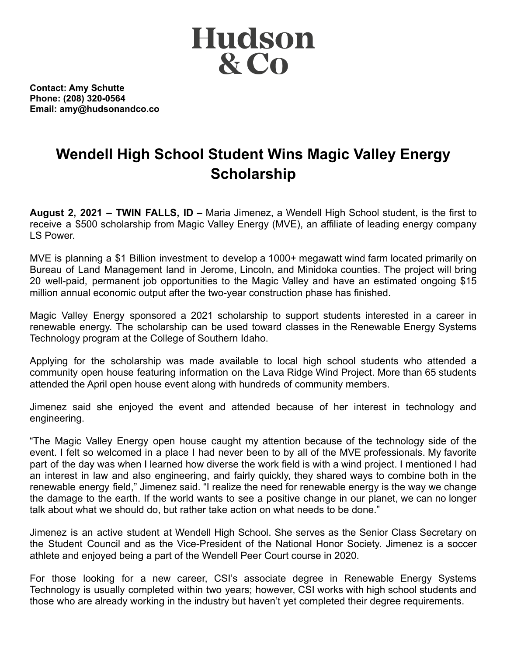

**Contact: Amy Schutte Phone: (208) 320-0564 Email: amy@hudsonandco.co**

## **Wendell High School Student Wins Magic Valley Energy Scholarship**

**August 2, 2021 – TWIN FALLS, ID –** Maria Jimenez, a Wendell High School student, is the first to receive a \$500 scholarship from Magic Valley Energy (MVE), an affiliate of leading energy company LS Power.

MVE is planning a \$1 Billion investment to develop a 1000+ megawatt wind farm located primarily on Bureau of Land Management land in Jerome, Lincoln, and Minidoka counties. The project will bring 20 well-paid, permanent job opportunities to the Magic Valley and have an estimated ongoing \$15 million annual economic output after the two-year construction phase has finished.

Magic Valley Energy sponsored a 2021 scholarship to support students interested in a career in renewable energy. The scholarship can be used toward classes in the Renewable Energy Systems Technology program at the College of Southern Idaho.

Applying for the scholarship was made available to local high school students who attended a community open house featuring information on the Lava Ridge Wind Project. More than 65 students attended the April open house event along with hundreds of community members.

Jimenez said she enjoyed the event and attended because of her interest in technology and engineering.

"The Magic Valley Energy open house caught my attention because of the technology side of the event. I felt so welcomed in a place I had never been to by all of the MVE professionals. My favorite part of the day was when I learned how diverse the work field is with a wind project. I mentioned I had an interest in law and also engineering, and fairly quickly, they shared ways to combine both in the renewable energy field," Jimenez said. "I realize the need for renewable energy is the way we change the damage to the earth. If the world wants to see a positive change in our planet, we can no longer talk about what we should do, but rather take action on what needs to be done."

Jimenez is an active student at Wendell High School. She serves as the Senior Class Secretary on the Student Council and as the Vice-President of the National Honor Society. Jimenez is a soccer athlete and enjoyed being a part of the Wendell Peer Court course in 2020.

For those looking for a new career, CSI's associate degree in Renewable Energy Systems Technology is usually completed within two years; however, CSI works with high school students and those who are already working in the industry but haven't yet completed their degree requirements.